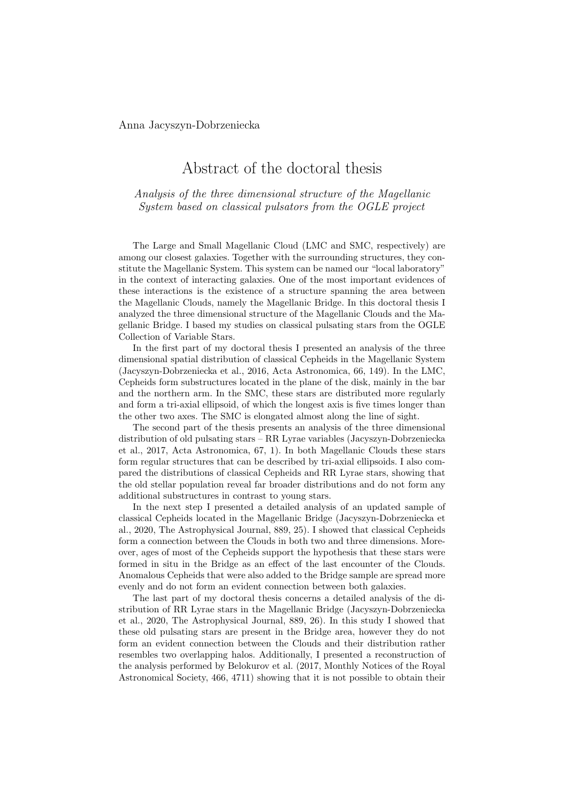Anna Jacyszyn-Dobrzeniecka

## Abstract of the doctoral thesis

*Analysis of the three dimensional structure of the Magellanic System based on classical pulsators from the OGLE project*

The Large and Small Magellanic Cloud (LMC and SMC, respectively) are among our closest galaxies. Together with the surrounding structures, they constitute the Magellanic System. This system can be named our "local laboratory" in the context of interacting galaxies. One of the most important evidences of these interactions is the existence of a structure spanning the area between the Magellanic Clouds, namely the Magellanic Bridge. In this doctoral thesis I analyzed the three dimensional structure of the Magellanic Clouds and the Magellanic Bridge. I based my studies on classical pulsating stars from the OGLE Collection of Variable Stars.

In the first part of my doctoral thesis I presented an analysis of the three dimensional spatial distribution of classical Cepheids in the Magellanic System (Jacyszyn-Dobrzeniecka et al., 2016, Acta Astronomica, 66, 149). In the LMC, Cepheids form substructures located in the plane of the disk, mainly in the bar and the northern arm. In the SMC, these stars are distributed more regularly and form a tri-axial ellipsoid, of which the longest axis is five times longer than the other two axes. The SMC is elongated almost along the line of sight.

The second part of the thesis presents an analysis of the three dimensional distribution of old pulsating stars – RR Lyrae variables (Jacyszyn-Dobrzeniecka et al., 2017, Acta Astronomica, 67, 1). In both Magellanic Clouds these stars form regular structures that can be described by tri-axial ellipsoids. I also compared the distributions of classical Cepheids and RR Lyrae stars, showing that the old stellar population reveal far broader distributions and do not form any additional substructures in contrast to young stars.

In the next step I presented a detailed analysis of an updated sample of classical Cepheids located in the Magellanic Bridge (Jacyszyn-Dobrzeniecka et al., 2020, The Astrophysical Journal, 889, 25). I showed that classical Cepheids form a connection between the Clouds in both two and three dimensions. Moreover, ages of most of the Cepheids support the hypothesis that these stars were formed in situ in the Bridge as an effect of the last encounter of the Clouds. Anomalous Cepheids that were also added to the Bridge sample are spread more evenly and do not form an evident connection between both galaxies.

The last part of my doctoral thesis concerns a detailed analysis of the distribution of RR Lyrae stars in the Magellanic Bridge (Jacyszyn-Dobrzeniecka et al., 2020, The Astrophysical Journal, 889, 26). In this study I showed that these old pulsating stars are present in the Bridge area, however they do not form an evident connection between the Clouds and their distribution rather resembles two overlapping halos. Additionally, I presented a reconstruction of the analysis performed by Belokurov et al. (2017, Monthly Notices of the Royal Astronomical Society, 466, 4711) showing that it is not possible to obtain their